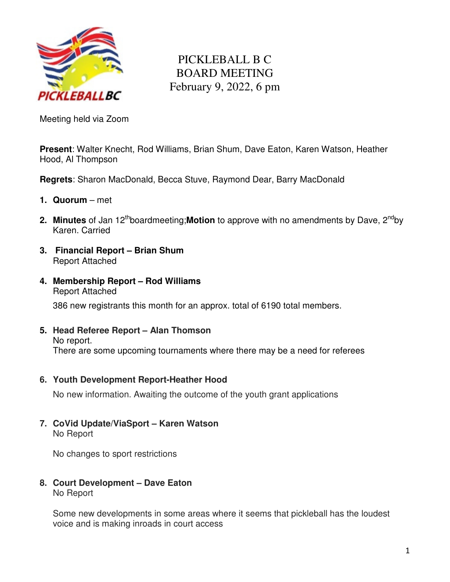

## PICKLEBALL B C BOARD MEETING February 9, 2022, 6 pm

Meeting held via Zoom

**Present**: Walter Knecht, Rod Williams, Brian Shum, Dave Eaton, Karen Watson, Heather Hood, Al Thompson

**Regrets**: Sharon MacDonald, Becca Stuve, Raymond Dear, Barry MacDonald

- **1. Quorum**  met
- **2. Minutes** of Jan 12<sup>th</sup>boardmeeting; **Motion** to approve with no amendments by Dave, 2<sup>nd</sup>by Karen. Carried
- **3. Financial Report Brian Shum**  Report Attached
- **4. Membership Report Rod Williams**  Report Attached

386 new registrants this month for an approx. total of 6190 total members.

- **5. Head Referee Report Alan Thomson** No report. There are some upcoming tournaments where there may be a need for referees
- **6. Youth Development Report-Heather Hood**

No new information. Awaiting the outcome of the youth grant applications

**7. CoVid Update/ViaSport – Karen Watson**  No Report

No changes to sport restrictions

**8. Court Development – Dave Eaton**  No Report

Some new developments in some areas where it seems that pickleball has the loudest voice and is making inroads in court access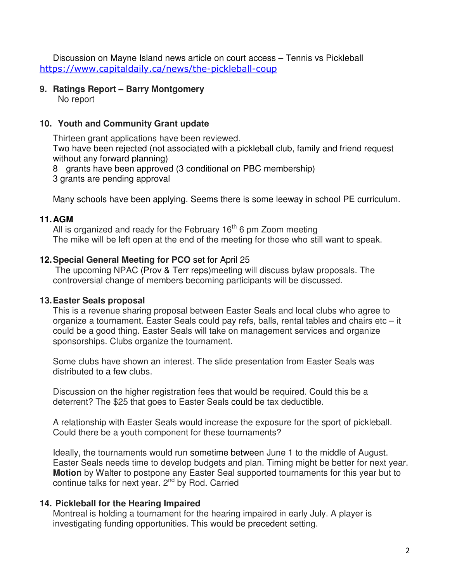Discussion on Mayne Island news article on court access – Tennis vs Pickleball https://www.capitaldaily.ca/news/the-pickleball-coup

#### **9. Ratings Report – Barry Montgomery**

No report

#### **10. Youth and Community Grant update**

Thirteen grant applications have been reviewed.

Two have been rejected (not associated with a pickleball club, family and friend request without any forward planning)

8 grants have been approved (3 conditional on PBC membership)

3 grants are pending approval

Many schools have been applying. Seems there is some leeway in school PE curriculum.

#### **11. AGM**

All is organized and ready for the February  $16<sup>th</sup>$  6 pm Zoom meeting The mike will be left open at the end of the meeting for those who still want to speak.

### **12. Special General Meeting for PCO** set for April 25

 The upcoming NPAC (Prov & Terr reps)meeting will discuss bylaw proposals. The controversial change of members becoming participants will be discussed.

### **13. Easter Seals proposal**

This is a revenue sharing proposal between Easter Seals and local clubs who agree to organize a tournament. Easter Seals could pay refs, balls, rental tables and chairs etc – it could be a good thing. Easter Seals will take on management services and organize sponsorships. Clubs organize the tournament.

Some clubs have shown an interest. The slide presentation from Easter Seals was distributed to a few clubs.

Discussion on the higher registration fees that would be required. Could this be a deterrent? The \$25 that goes to Easter Seals could be tax deductible.

A relationship with Easter Seals would increase the exposure for the sport of pickleball. Could there be a youth component for these tournaments?

Ideally, the tournaments would run sometime between June 1 to the middle of August. Easter Seals needs time to develop budgets and plan. Timing might be better for next year. **Motion** by Walter to postpone any Easter Seal supported tournaments for this year but to continue talks for next year. 2<sup>nd</sup> by Rod. Carried

### **14. Pickleball for the Hearing Impaired**

Montreal is holding a tournament for the hearing impaired in early July. A player is investigating funding opportunities. This would be precedent setting.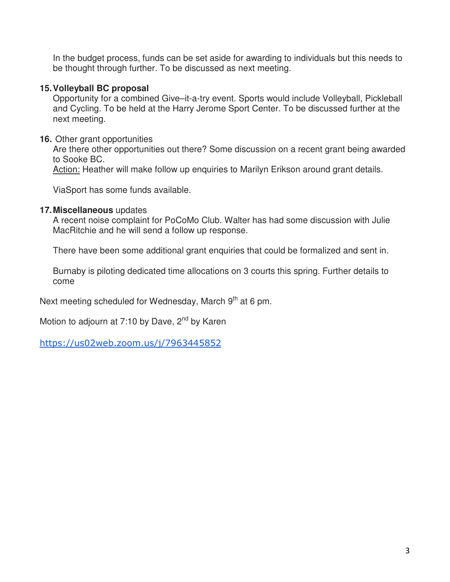In the budget process, funds can be set aside for awarding to individuals but this needs to be thought through further. To be discussed as next meeting.

#### **15. Volleyball BC proposal**

Opportunity for a combined Give–it-a-try event. Sports would include Volleyball, Pickleball and Cycling. To be held at the Harry Jerome Sport Center. To be discussed further at the next meeting.

#### **16.** Other grant opportunities

Are there other opportunities out there? Some discussion on a recent grant being awarded to Sooke BC.

Action: Heather will make follow up enquiries to Marilyn Erikson around grant details.

ViaSport has some funds available.

#### **17. Miscellaneous** updates

A recent noise complaint for PoCoMo Club. Walter has had some discussion with Julie MacRitchie and he will send a follow up response.

There have been some additional grant enquiries that could be formalized and sent in.

Burnaby is piloting dedicated time allocations on 3 courts this spring. Further details to come

Next meeting scheduled for Wednesday, March 9<sup>th</sup> at 6 pm.

Motion to adjourn at 7:10 by Dave,  $2^{nd}$  by Karen

https://us02web.zoom.us/j/7963445852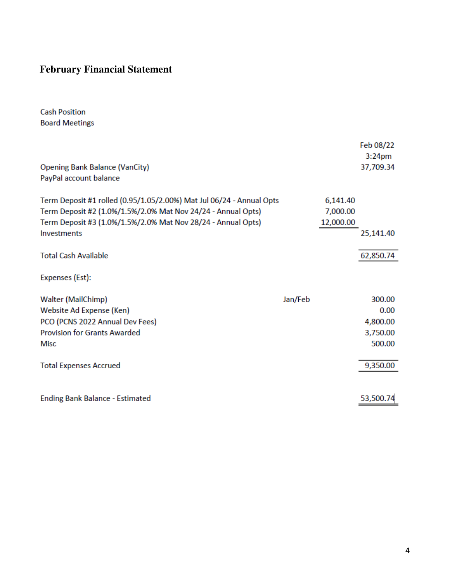# **February Financial Statement**

**Cash Position Board Meetings** 

| <b>Opening Bank Balance (VanCity)</b><br>PayPal account balance                                                                                                                                                            |         |                                   | Feb 08/22<br>3:24 <sub>pm</sub><br>37,709.34 |
|----------------------------------------------------------------------------------------------------------------------------------------------------------------------------------------------------------------------------|---------|-----------------------------------|----------------------------------------------|
| Term Deposit #1 rolled (0.95/1.05/2.00%) Mat Jul 06/24 - Annual Opts<br>Term Deposit #2 (1.0%/1.5%/2.0% Mat Nov 24/24 - Annual Opts)<br>Term Deposit #3 (1.0%/1.5%/2.0% Mat Nov 28/24 - Annual Opts)<br><b>Investments</b> |         | 6,141.40<br>7,000.00<br>12,000.00 | 25,141.40                                    |
| <b>Total Cash Available</b>                                                                                                                                                                                                |         |                                   | 62,850.74                                    |
| Expenses (Est):                                                                                                                                                                                                            |         |                                   |                                              |
| <b>Walter (MailChimp)</b>                                                                                                                                                                                                  | Jan/Feb |                                   | 300.00                                       |
| Website Ad Expense (Ken)                                                                                                                                                                                                   |         |                                   | 0.00                                         |
| PCO (PCNS 2022 Annual Dev Fees)                                                                                                                                                                                            |         |                                   | 4,800.00                                     |
| <b>Provision for Grants Awarded</b>                                                                                                                                                                                        |         |                                   | 3,750.00                                     |
| <b>Misc</b>                                                                                                                                                                                                                |         |                                   | 500.00                                       |
|                                                                                                                                                                                                                            |         |                                   |                                              |
| <b>Total Expenses Accrued</b>                                                                                                                                                                                              |         |                                   | 9,350.00                                     |
|                                                                                                                                                                                                                            |         |                                   |                                              |
| <b>Ending Bank Balance - Estimated</b>                                                                                                                                                                                     |         |                                   | 53,500.74                                    |